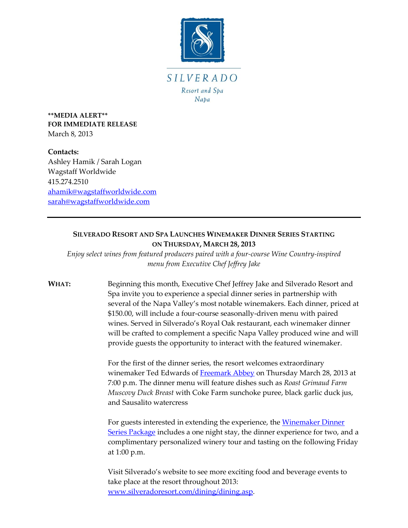

**\*\*MEDIA ALERT\*\* FOR IMMEDIATE RELEASE** March 8, 2013

**Contacts:** Ashley Hamik / Sarah Logan Wagstaff Worldwide 415.274.2510 [ahamik@wagstaffworldwide.com](mailto:ahamik@wagstaffworldwide.com) [sarah@wagstaffworldwide.com](mailto:sarah@wagstaffworldwide.com)

## **SILVERADO RESORT AND SPA LAUNCHES WINEMAKER DINNER SERIES STARTING ON THURSDAY, MARCH 28, 2013**

*Enjoy select wines from featured producers paired with a four-course Wine Country-inspired menu from Executive Chef Jeffrey Jake*

**WHAT:** Beginning this month, Executive Chef Jeffrey Jake and Silverado Resort and Spa invite you to experience a special dinner series in partnership with several of the Napa Valley's most notable winemakers. Each dinner, priced at \$150.00, will include a four-course seasonally-driven menu with paired wines. Served in Silverado's Royal Oak restaurant, each winemaker dinner will be crafted to complement a specific Napa Valley produced wine and will provide guests the opportunity to interact with the featured winemaker.

> For the first of the dinner series, the resort welcomes extraordinary winemaker Ted Edwards of [Freemark Abbey](http://www.freemarkabbey.com/) on Thursday March 28, 2013 at 7:00 p.m. The dinner menu will feature dishes such as *Roast Grimaud Farm Muscovy Duck Breast* with Coke Farm sunchoke puree, black garlic duck jus, and Sausalito watercress

> For guests interested in extending the experience, the Winemaker Dinner [Series Package](http://www.silveradoresort.com/dining/wine-maker-dinner-series.asp) includes a one night stay, the dinner experience for two, and a complimentary personalized winery tour and tasting on the following Friday at 1:00 p.m.

Visit Silverado's website to see more exciting food and beverage events to take place at the resort throughout 2013: [www.silveradoresort.com/dining/dining.asp.](http://www.silveradoresort.com/dining/dining.asp)